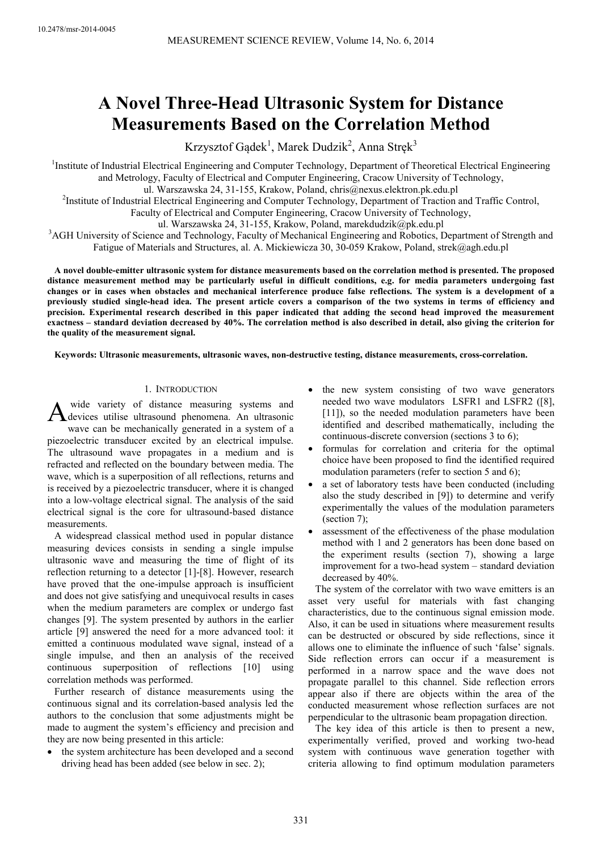# **A Novel Three-Head Ultrasonic System for Distance Measurements Based on the Correlation Method**

Krzysztof Gądek<sup>1</sup>, Marek Dudzik<sup>2</sup>, Anna Stręk<sup>3</sup>

<sup>1</sup>Institute of Industrial Electrical Engineering and Computer Technology, Department of Theoretical Electrical Engineering and Metrology, Faculty of Electrical and Computer Engineering, Cracow University of Technology,

ul. Warszawska 24, 31-155, Krakow, Poland, chris@nexus.elektron.pk.edu.pl

<sup>2</sup>Institute of Industrial Electrical Engineering and Computer Technology, Department of Traction and Traffic Control,

Faculty of Electrical and Computer Engineering, Cracow University of Technology,

ul. Warszawska 24, 31-155, Krakow, Poland, marekdudzik@pk.edu.pl

<sup>3</sup>AGH University of Science and Technology, Faculty of Mechanical Engineering and Robotics, Department of Strength and Fatigue of Materials and Structures, al. A. Mickiewicza 30, 30-059 Krakow, Poland, strek@agh.edu.pl

**A novel double-emitter ultrasonic system for distance measurements based on the correlation method is presented. The proposed distance measurement method may be particularly useful in difficult conditions, e.g. for media parameters undergoing fast changes or in cases when obstacles and mechanical interference produce false reflections. The system is a development of a previously studied single-head idea. The present article covers a comparison of the two systems in terms of efficiency and precision. Experimental research described in this paper indicated that adding the second head improved the measurement exactness – standard deviation decreased by 40%. The correlation method is also described in detail, also giving the criterion for the quality of the measurement signal.** 

**Keywords: Ultrasonic measurements, ultrasonic waves, non-destructive testing, distance measurements, cross-correlation.** 

# 1. INTRODUCTION

 wide variety of distance measuring systems and A wide variety of distance measuring systems and<br>devices utilise ultrasound phenomena. An ultrasonic wave can be mechanically generated in a system of a piezoelectric transducer excited by an electrical impulse. The ultrasound wave propagates in a medium and is refracted and reflected on the boundary between media. The wave, which is a superposition of all reflections, returns and is received by a piezoelectric transducer, where it is changed into a low-voltage electrical signal. The analysis of the said electrical signal is the core for ultrasound-based distance measurements.

A widespread classical method used in popular distance measuring devices consists in sending a single impulse ultrasonic wave and measuring the time of flight of its reflection returning to a detector [1]-[8]. However, research have proved that the one-impulse approach is insufficient and does not give satisfying and unequivocal results in cases when the medium parameters are complex or undergo fast changes [9]. The system presented by authors in the earlier article [9] answered the need for a more advanced tool: it emitted a continuous modulated wave signal, instead of a single impulse, and then an analysis of the received continuous superposition of reflections [10] using correlation methods was performed.

Further research of distance measurements using the continuous signal and its correlation-based analysis led the authors to the conclusion that some adjustments might be made to augment the system's efficiency and precision and they are now being presented in this article:

the system architecture has been developed and a second driving head has been added (see below in sec. 2);

- the new system consisting of two wave generators needed two wave modulators LSFR1 and LSFR2 ([8], [11]), so the needed modulation parameters have been identified and described mathematically, including the continuous-discrete conversion (sections 3 to 6);
- formulas for correlation and criteria for the optimal choice have been proposed to find the identified required modulation parameters (refer to section 5 and 6);
- a set of laboratory tests have been conducted (including also the study described in [9]) to determine and verify experimentally the values of the modulation parameters (section 7);
- assessment of the effectiveness of the phase modulation method with 1 and 2 generators has been done based on the experiment results (section 7), showing a large improvement for a two-head system – standard deviation decreased by 40%.

The system of the correlator with two wave emitters is an asset very useful for materials with fast changing characteristics, due to the continuous signal emission mode. Also, it can be used in situations where measurement results can be destructed or obscured by side reflections, since it allows one to eliminate the influence of such 'false' signals. Side reflection errors can occur if a measurement is performed in a narrow space and the wave does not propagate parallel to this channel. Side reflection errors appear also if there are objects within the area of the conducted measurement whose reflection surfaces are not perpendicular to the ultrasonic beam propagation direction.

The key idea of this article is then to present a new, experimentally verified, proved and working two-head system with continuous wave generation together with criteria allowing to find optimum modulation parameters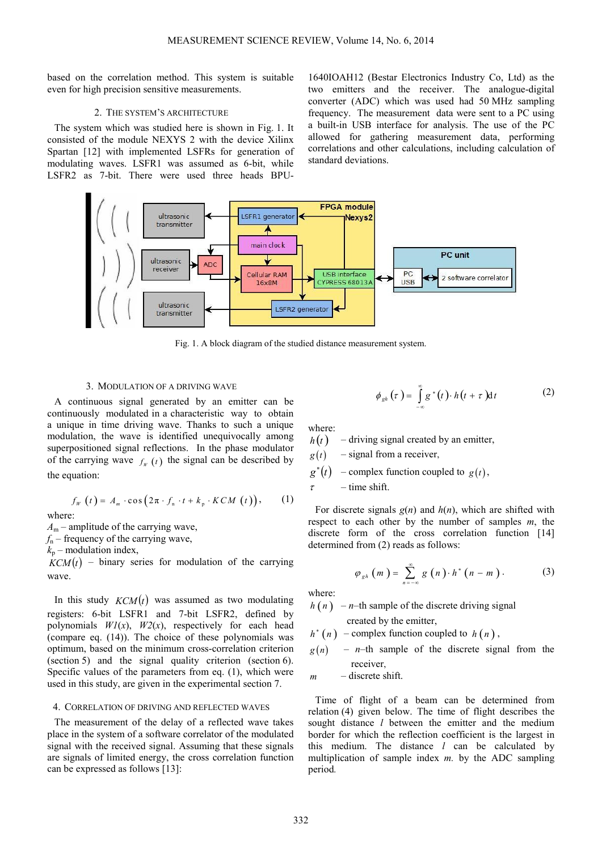based on the correlation method. This system is suitable even for high precision sensitive measurements.

## 2. THE SYSTEM'S ARCHITECTURE

The system which was studied here is shown in Fig. 1. It consisted of the module NEXYS 2 with the device Xilinx Spartan [12] with implemented LSFRs for generation of modulating waves. LSFR1 was assumed as 6-bit, while LSFR2 as 7-bit. There were used three heads BPU-

1640IOAH12 (Bestar Electronics Industry Co, Ltd) as the two emitters and the receiver. The analogue-digital converter (ADC) which was used had 50 MHz sampling frequency. The measurement data were sent to a PC using a built-in USB interface for analysis. The use of the PC allowed for gathering measurement data, performing correlations and other calculations, including calculation of standard deviations.



Fig. 1. A block diagram of the studied distance measurement system.

## 3. MODULATION OF A DRIVING WAVE

A continuous signal generated by an emitter can be continuously modulated in a characteristic way to obtain a unique in time driving wave. Thanks to such a unique modulation, the wave is identified unequivocally among superpositioned signal reflections. In the phase modulator of the carrying wave  $f_W(t)$  the signal can be described by the equation:

$$
f_{W}(t) = A_{m} \cdot \cos(2\pi \cdot f_{n} \cdot t + k_{p} \cdot KCM(t)), \qquad (1)
$$

where:

 $A_m$  – amplitude of the carrying wave,

 $f_n$  – frequency of the carrying wave,

 $k_p$  – modulation index,

 $KCM(t)$  – binary series for modulation of the carrying wave.

In this study  $KCM(t)$  was assumed as two modulating registers: 6-bit LSFR1 and 7-bit LSFR2, defined by polynomials  $W1(x)$ ,  $W2(x)$ , respectively for each head (compare eq. (14)). The choice of these polynomials was optimum, based on the minimum cross-correlation criterion (section 5) and the signal quality criterion (section 6). Specific values of the parameters from eq. (1), which were used in this study, are given in the experimental section 7.

#### 4. CORRELATION OF DRIVING AND REFLECTED WAVES

The measurement of the delay of a reflected wave takes place in the system of a software correlator of the modulated signal with the received signal. Assuming that these signals are signals of limited energy, the cross correlation function can be expressed as follows [13]:

$$
\phi_{gh}(\tau) = \int_{-\infty}^{\infty} g^*(t) \cdot h(t + \tau) dt \qquad (2)
$$

where:

 $h(t)$  – driving signal created by an emitter,

- $g(t)$  signal from a receiver,
- $g^*(t)$ – complex function coupled to  $g(t)$ ,

 $\tau$  – time shift.

For discrete signals  $g(n)$  and  $h(n)$ , which are shifted with respect to each other by the number of samples *m*, the discrete form of the cross correlation function [14] determined from (2) reads as follows:

$$
\varphi_{gh}(m) = \sum_{n=-\infty}^{\infty} g(n) \cdot h^* (n-m).
$$
 (3)

where:

 $h(n)$  – *n*–th sample of the discrete driving signal

created by the emitter,

 $h^*$  (*n*) – complex function coupled to *h* (*n*),

 $g(n)$  – *n*–th sample of the discrete signal from the receiver

*m* – discrete shift.

Time of flight of a beam can be determined from relation (4) given below. The time of flight describes the sought distance *l* between the emitter and the medium border for which the reflection coefficient is the largest in this medium. The distance *l* can be calculated by multiplication of sample index *m.* by the ADC sampling period*.*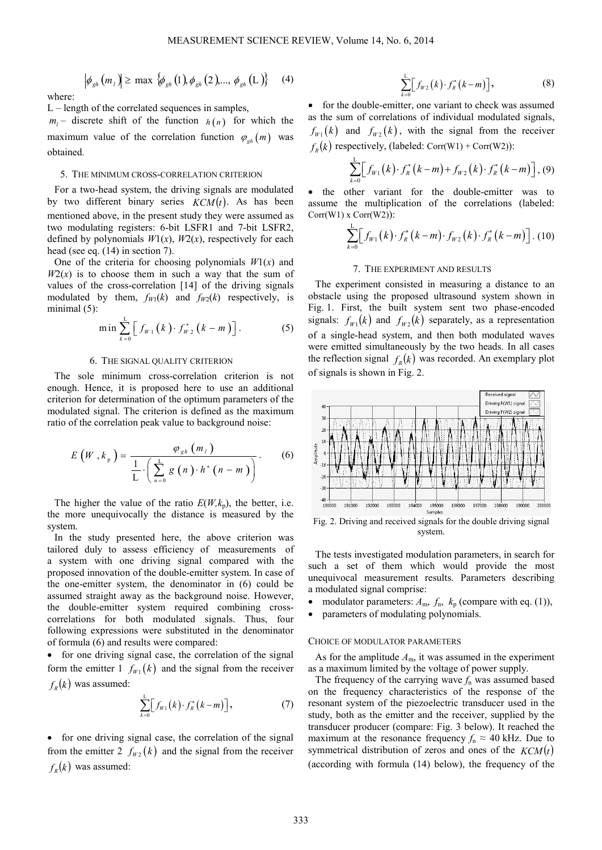where:

L – length of the correlated sequences in samples,

 $m_l$  – discrete shift of the function  $h(n)$  for which the maximum value of the correlation function  $\varphi_{\rho h}(m)$  was obtained.

 $\left|\phi_{gh}(m_i)\right| \ge \max \left\{\phi_{gh}(1), \phi_{gh}(2), ..., \phi_{gh}(L)\right\}$  (4)

## 5. THE MINIMUM CROSS-CORRELATION CRITERION

For a two-head system, the driving signals are modulated by two different binary series  $KCM(t)$ . As has been mentioned above, in the present study they were assumed as two modulating registers: 6-bit LSFR1 and 7-bit LSFR2, defined by polynomials  $W1(x)$ ,  $W2(x)$ , respectively for each head (see eq. (14) in section 7).

One of the criteria for choosing polynomials  $W1(x)$  and  $W2(x)$  is to choose them in such a way that the sum of values of the cross-correlation [14] of the driving signals modulated by them,  $f_{W1}(k)$  and  $f_{W2}(k)$  respectively, is minimal (5):

$$
\min \sum_{k=0}^{L} \left[ f_{W_1}(k) \cdot f_{W_2}^*\left(k-m\right) \right]. \tag{5}
$$

## 6. THE SIGNAL QUALITY CRITERION

The sole minimum cross-correlation criterion is not enough. Hence, it is proposed here to use an additional criterion for determination of the optimum parameters of the modulated signal. The criterion is defined as the maximum ratio of the correlation peak value to background noise:

$$
E\left(W, k_{p}\right) = \frac{\varphi_{gh}\left(m_{l}\right)}{\frac{1}{L} \cdot \left(\sum_{n=0}^{L} g\left(n\right) \cdot h^{*}\left(n-m\right)\right)}.
$$
 (6)

The higher the value of the ratio  $E(W, k_n)$ , the better, i.e. the more unequivocally the distance is measured by the system.

In the study presented here, the above criterion was tailored duly to assess efficiency of measurements of a system with one driving signal compared with the proposed innovation of the double-emitter system. In case of the one-emitter system, the denominator in (6) could be assumed straight away as the background noise. However, the double-emitter system required combining crosscorrelations for both modulated signals. Thus, four following expressions were substituted in the denominator of formula (6) and results were compared:

• for one driving signal case, the correlation of the signal form the emitter  $1 \, f_{w_1}(k)$  and the signal from the receiver  $f_R(k)$  was assumed:

$$
\sum_{k=0}^{L} \Big[ f_{W1}(k) \cdot f_k^*(k-m) \Big], \tag{7}
$$

• for one driving signal case, the correlation of the signal from the emitter 2  $f_{w_2}(k)$  and the signal from the receiver  $f_p(k)$  was assumed:

$$
\sum_{k=0}^{L} \Bigl[ f_{w_2}(k) \cdot f_k^*(k-m) \Bigr], \tag{8}
$$

• for the double-emitter, one variant to check was assumed as the sum of correlations of individual modulated signals,  $f_{w_1}(k)$  and  $f_{w_2}(k)$ , with the signal from the receiver  $f_R(k)$  respectively, (labeled: Corr(W1) + Corr(W2)):

$$
\sum_{k=0}^{L} \Big[ f_{W1}(k) \cdot f_{R}^{*}(k-m) + f_{W2}(k) \cdot f_{R}^{*}(k-m) \Big], (9)
$$

the other variant for the double-emitter was to assume the multiplication of the correlations (labeled: Corr(W1) x Corr(W2)):

$$
\sum_{k=0}^{L} \Big[ f_{W1}(k) \cdot f_{R}^{*}(k-m) \cdot f_{W2}(k) \cdot f_{R}^{*}(k-m) \Big]. (10)
$$

# 7. THE EXPERIMENT AND RESULTS

The experiment consisted in measuring a distance to an obstacle using the proposed ultrasound system shown in Fig. 1. First, the built system sent two phase-encoded signals:  $f_{w_1}(k)$  and  $f_{w_2}(k)$  separately, as a representation of a single-head system, and then both modulated waves were emitted simultaneously by the two heads. In all cases the reflection signal  $f_R(k)$  was recorded. An exemplary plot of signals is shown in Fig. 2.



Fig. 2. Driving and received signals for the double driving signal system.

The tests investigated modulation parameters, in search for such a set of them which would provide the most unequivocal measurement results. Parameters describing a modulated signal comprise:

- modulator parameters:  $A_m$ ,  $f_n$ ,  $k_p$  (compare with eq. (1)),
- parameters of modulating polynomials.

## CHOICE OF MODULATOR PARAMETERS

As for the amplitude  $A_{\rm m}$ , it was assumed in the experiment as a maximum limited by the voltage of power supply.

The frequency of the carrying wave  $f_n$  was assumed based on the frequency characteristics of the response of the resonant system of the piezoelectric transducer used in the study, both as the emitter and the receiver, supplied by the transducer producer (compare: Fig. 3 below). It reached the maximum at the resonance frequency  $f_n \approx 40$  kHz. Due to symmetrical distribution of zeros and ones of the  $KCM(t)$ (according with formula (14) below), the frequency of the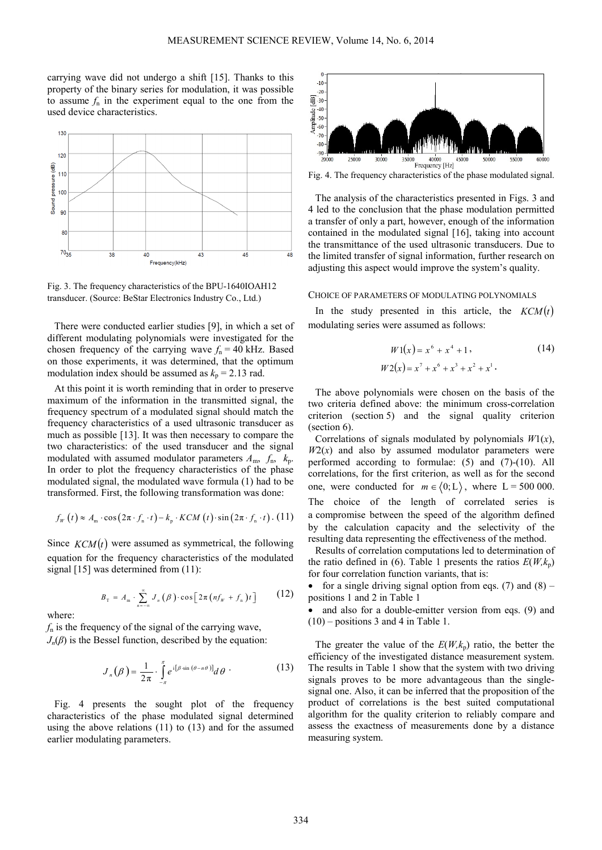carrying wave did not undergo a shift [15]. Thanks to this property of the binary series for modulation, it was possible to assume  $f_n$  in the experiment equal to the one from the used device characteristics.



Fig. 3. The frequency characteristics of the BPU-1640IOAH12 transducer. (Source: BeStar Electronics Industry Co., Ltd.)

There were conducted earlier studies [9], in which a set of different modulating polynomials were investigated for the chosen frequency of the carrying wave  $f_n = 40$  kHz. Based on those experiments, it was determined, that the optimum modulation index should be assumed as  $k_p = 2.13$  rad.

At this point it is worth reminding that in order to preserve maximum of the information in the transmitted signal, the frequency spectrum of a modulated signal should match the frequency characteristics of a used ultrasonic transducer as much as possible [13]. It was then necessary to compare the two characteristics: of the used transducer and the signal modulated with assumed modulator parameters  $A_m$ ,  $f_n$ ,  $k_p$ . In order to plot the frequency characteristics of the phase modulated signal, the modulated wave formula (1) had to be transformed. First, the following transformation was done:

$$
f_{w}(t) \approx A_{m} \cdot \cos(2\pi \cdot f_{n} \cdot t) - k_{p} \cdot KCM(t) \cdot \sin(2\pi \cdot f_{n} \cdot t) \cdot (11)
$$

Since  $KCM(t)$  were assumed as symmetrical, the following equation for the frequency characteristics of the modulated signal [15] was determined from (11):

$$
B_{\text{T}} = A_{\text{m}} \cdot \sum_{n=-\infty}^{\infty} J_n(\beta) \cdot \cos \left[2\pi \left(n f_{w} + f_{\text{n}}\right) t\right] \tag{12}
$$

where:

*f*n is the frequency of the signal of the carrying wave,  $J_n(\beta)$  is the Bessel function, described by the equation:

$$
J_n(\beta) = \frac{1}{2\pi} \cdot \int_{-\pi}^{\pi} e^{i[\beta \sin (\theta - n\theta)]} d\theta \qquad (13)
$$

Fig. 4 presents the sought plot of the frequency characteristics of the phase modulated signal determined using the above relations (11) to (13) and for the assumed earlier modulating parameters.

![](_page_3_Figure_13.jpeg)

Fig. 4. The frequency characteristics of the phase modulated signal.

The analysis of the characteristics presented in Figs. 3 and 4 led to the conclusion that the phase modulation permitted a transfer of only a part, however, enough of the information contained in the modulated signal [16], taking into account the transmittance of the used ultrasonic transducers. Due to the limited transfer of signal information, further research on adjusting this aspect would improve the system's quality.

## CHOICE OF PARAMETERS OF MODULATING POLYNOMIALS

In the study presented in this article, the  $KCM(t)$ modulating series were assumed as follows:

$$
W1(x) = x6 + x4 + 1,
$$
 (14)  

$$
W2(x) = x7 + x6 + x3 + x2 + x1.
$$

The above polynomials were chosen on the basis of the two criteria defined above: the minimum cross-correlation criterion (section 5) and the signal quality criterion (section 6).

Correlations of signals modulated by polynomials *W*1(*x*),  $W2(x)$  and also by assumed modulator parameters were performed according to formulae: (5) and (7)-(10). All correlations, for the first criterion, as well as for the second one, were conducted for  $m \in (0, L)$ , where  $L = 500000$ . The choice of the length of correlated series is a compromise between the speed of the algorithm defined by the calculation capacity and the selectivity of the resulting data representing the effectiveness of the method.

Results of correlation computations led to determination of the ratio defined in (6). Table 1 presents the ratios  $E(W, k_p)$ for four correlation function variants, that is:

• for a single driving signal option from eqs. (7) and  $(8)$  – positions 1 and 2 in Table 1

and also for a double-emitter version from eqs. (9) and (10) – positions 3 and 4 in Table 1.

The greater the value of the  $E(W, k_p)$  ratio, the better the efficiency of the investigated distance measurement system. The results in Table 1 show that the system with two driving signals proves to be more advantageous than the singlesignal one. Also, it can be inferred that the proposition of the product of correlations is the best suited computational algorithm for the quality criterion to reliably compare and assess the exactness of measurements done by a distance measuring system.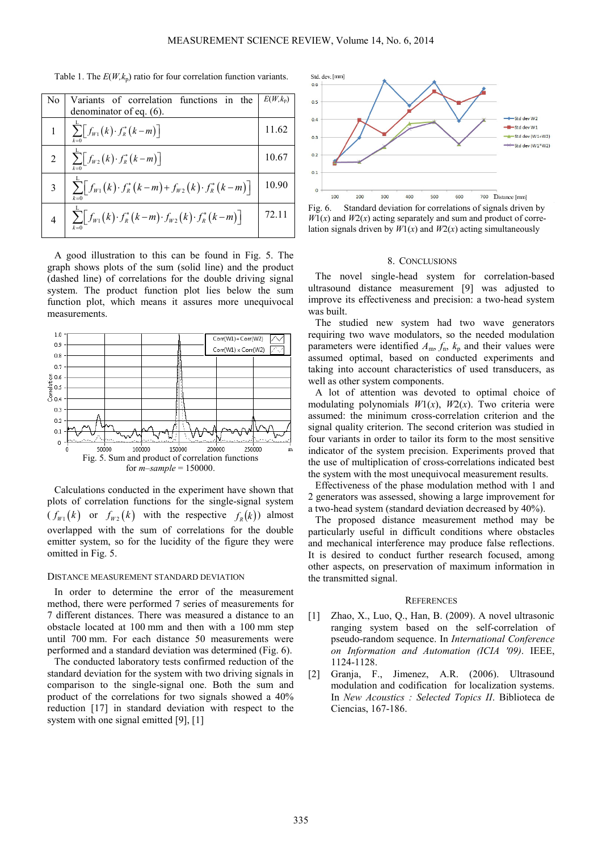Table 1. The  $E(W, k_p)$  ratio for four correlation function variants.

| N <sub>0</sub> | Variants of correlation functions in the                                                                 | $E(W, k_n)$ |
|----------------|----------------------------------------------------------------------------------------------------------|-------------|
|                | denominator of eq. (6).                                                                                  |             |
|                | $\sum [f_{W1}(k) \cdot f_R^*(k-m)]$                                                                      | 11.62       |
| $\overline{2}$ | $\sum_{k=1}^{n} \left[ f_{W2}(k) \cdot f_{R}^{*}(k-m) \right]$                                           | 10.67       |
| 3              | $\sum [f_{w_1}(k) \cdot f_R^*(k-m) + f_{w_2}(k) \cdot f_R^*(k-m)]$<br>$k=0$                              | 10.90       |
|                | $\sum_{k=1}^{\infty} \left[ f_{W1}(k) \cdot f_{R}^{*}(k-m) \cdot f_{W2}(k) \cdot f_{R}^{*}(k-m) \right]$ | 72 11       |

A good illustration to this can be found in Fig. 5. The graph shows plots of the sum (solid line) and the product (dashed line) of correlations for the double driving signal system. The product function plot lies below the sum function plot, which means it assures more unequivocal measurements.

![](_page_4_Figure_4.jpeg)

Calculations conducted in the experiment have shown that plots of correlation functions for the single-signal system  $(f_{w_1}(k)$  or  $f_{w_2}(k)$  with the respective  $f_R(k)$  almost overlapped with the sum of correlations for the double emitter system, so for the lucidity of the figure they were omitted in Fig. 5.

#### DISTANCE MEASUREMENT STANDARD DEVIATION

In order to determine the error of the measurement method, there were performed 7 series of measurements for 7 different distances. There was measured a distance to an obstacle located at 100 mm and then with a 100 mm step until 700 mm. For each distance 50 measurements were performed and a standard deviation was determined (Fig. 6).

The conducted laboratory tests confirmed reduction of the standard deviation for the system with two driving signals in comparison to the single-signal one. Both the sum and product of the correlations for two signals showed a 40% reduction [17] in standard deviation with respect to the system with one signal emitted [9], [1]

![](_page_4_Figure_9.jpeg)

Fig. 6. Standard deviation for correlations of signals driven by  $W(x)$  and  $W(2(x))$  acting separately and sum and product of correlation signals driven by  $W_1(x)$  and  $W_2(x)$  acting simultaneously

## 8. CONCLUSIONS

The novel single-head system for correlation-based ultrasound distance measurement [9] was adjusted to improve its effectiveness and precision: a two-head system was built.

The studied new system had two wave generators requiring two wave modulators, so the needed modulation parameters were identified  $A_m$ ,  $f_n$ ,  $k_p$  and their values were assumed optimal, based on conducted experiments and taking into account characteristics of used transducers, as well as other system components.

A lot of attention was devoted to optimal choice of modulating polynomials  $W1(x)$ ,  $W2(x)$ . Two criteria were assumed: the minimum cross-correlation criterion and the signal quality criterion. The second criterion was studied in four variants in order to tailor its form to the most sensitive indicator of the system precision. Experiments proved that the use of multiplication of cross-correlations indicated best the system with the most unequivocal measurement results.

Effectiveness of the phase modulation method with 1 and 2 generators was assessed, showing a large improvement for a two-head system (standard deviation decreased by 40%).

The proposed distance measurement method may be particularly useful in difficult conditions where obstacles and mechanical interference may produce false reflections. It is desired to conduct further research focused, among other aspects, on preservation of maximum information in the transmitted signal.

## **REFERENCES**

- [1] Zhao, X., Luo, Q., Han, B. (2009). A novel ultrasonic ranging system based on the self-correlation of pseudo-random sequence. In *International Conference on Information and Automation (ICIA '09)*. IEEE, 1124-1128.
- [2] Granja, F., Jimenez, A.R. (2006). Ultrasound modulation and codification for localization systems. In *New Acoustics : Selected Topics II*. Biblioteca de Ciencias, 167-186.